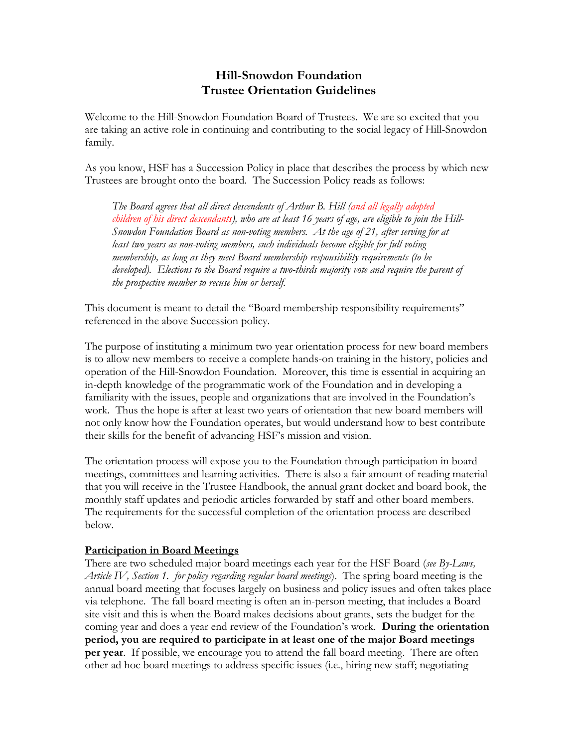# **Hill-Snowdon Foundation Trustee Orientation Guidelines**

Welcome to the Hill-Snowdon Foundation Board of Trustees. We are so excited that you are taking an active role in continuing and contributing to the social legacy of Hill-Snowdon family.

As you know, HSF has a Succession Policy in place that describes the process by which new Trustees are brought onto the board. The Succession Policy reads as follows:

*The Board agrees that all direct descendents of Arthur B. Hill (and all legally adopted children of his direct descendants), who are at least 16 years of age, are eligible to join the Hill-Snowdon Foundation Board as non-voting members. At the age of 21, after serving for at least two years as non-voting members, such individuals become eligible for full voting membership, as long as they meet Board membership responsibility requirements (to be developed). Elections to the Board require a two-thirds majority vote and require the parent of the prospective member to recuse him or herself.*

This document is meant to detail the "Board membership responsibility requirements" referenced in the above Succession policy.

The purpose of instituting a minimum two year orientation process for new board members is to allow new members to receive a complete hands-on training in the history, policies and operation of the Hill-Snowdon Foundation. Moreover, this time is essential in acquiring an in-depth knowledge of the programmatic work of the Foundation and in developing a familiarity with the issues, people and organizations that are involved in the Foundation's work. Thus the hope is after at least two years of orientation that new board members will not only know how the Foundation operates, but would understand how to best contribute their skills for the benefit of advancing HSF's mission and vision.

The orientation process will expose you to the Foundation through participation in board meetings, committees and learning activities. There is also a fair amount of reading material that you will receive in the Trustee Handbook, the annual grant docket and board book, the monthly staff updates and periodic articles forwarded by staff and other board members. The requirements for the successful completion of the orientation process are described below.

## **Participation in Board Meetings**

There are two scheduled major board meetings each year for the HSF Board (*see By-Laws, Article IV, Section 1. for policy regarding regular board meetings*). The spring board meeting is the annual board meeting that focuses largely on business and policy issues and often takes place via telephone. The fall board meeting is often an in-person meeting, that includes a Board site visit and this is when the Board makes decisions about grants, sets the budget for the coming year and does a year end review of the Foundation's work. **During the orientation period, you are required to participate in at least one of the major Board meetings per year**. If possible, we encourage you to attend the fall board meeting. There are often other ad hoc board meetings to address specific issues (i.e., hiring new staff; negotiating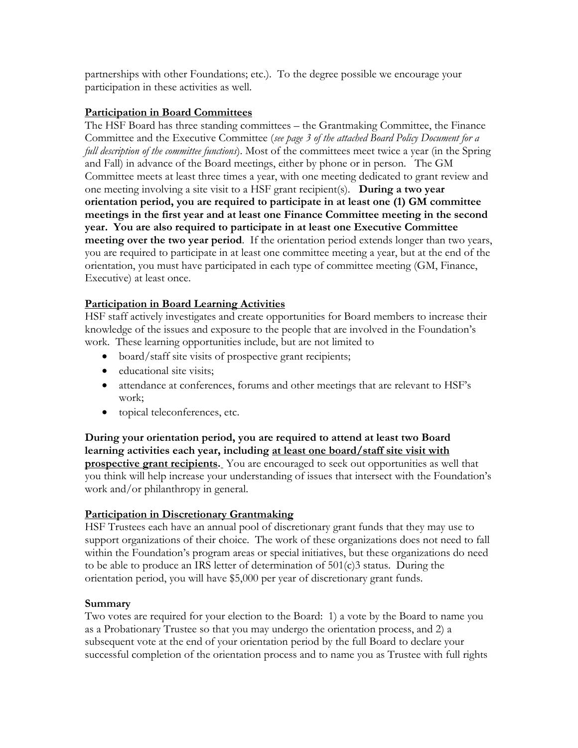partnerships with other Foundations; etc.). To the degree possible we encourage your participation in these activities as well.

# **Participation in Board Committees**

The HSF Board has three standing committees – the Grantmaking Committee, the Finance Committee and the Executive Committee (*see page 3 of the attached Board Policy Document for a full description of the committee functions*). Most of the committees meet twice a year (in the Spring and Fall) in advance of the Board meetings, either by phone or in person. The GM Committee meets at least three times a year, with one meeting dedicated to grant review and one meeting involving a site visit to a HSF grant recipient(s). **During a two year orientation period, you are required to participate in at least one (1) GM committee meetings in the first year and at least one Finance Committee meeting in the second year. You are also required to participate in at least one Executive Committee meeting over the two year period**. If the orientation period extends longer than two years, you are required to participate in at least one committee meeting a year, but at the end of the orientation, you must have participated in each type of committee meeting (GM, Finance, Executive) at least once.

# **Participation in Board Learning Activities**

HSF staff actively investigates and create opportunities for Board members to increase their knowledge of the issues and exposure to the people that are involved in the Foundation's work. These learning opportunities include, but are not limited to

- board/staff site visits of prospective grant recipients;
- educational site visits;
- attendance at conferences, forums and other meetings that are relevant to HSF's work;
- topical teleconferences, etc.

**During your orientation period, you are required to attend at least two Board learning activities each year, including at least one board/staff site visit with prospective grant recipients.** You are encouraged to seek out opportunities as well that you think will help increase your understanding of issues that intersect with the Foundation's work and/or philanthropy in general.

## **Participation in Discretionary Grantmaking**

HSF Trustees each have an annual pool of discretionary grant funds that they may use to support organizations of their choice. The work of these organizations does not need to fall within the Foundation's program areas or special initiatives, but these organizations do need to be able to produce an IRS letter of determination of 501(c)3 status. During the orientation period, you will have \$5,000 per year of discretionary grant funds.

## **Summary**

Two votes are required for your election to the Board: 1) a vote by the Board to name you as a Probationary Trustee so that you may undergo the orientation process, and 2) a subsequent vote at the end of your orientation period by the full Board to declare your successful completion of the orientation process and to name you as Trustee with full rights